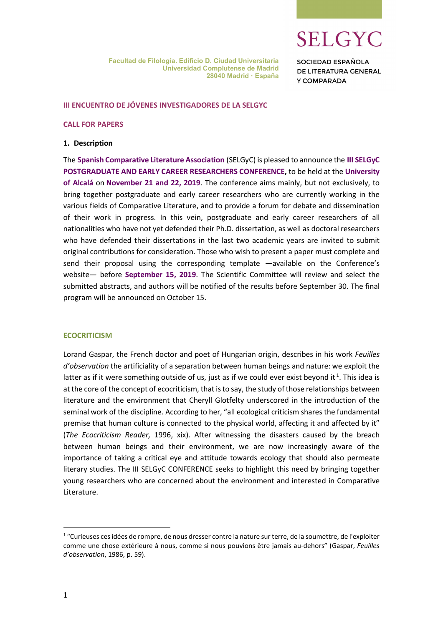**SELGYC** 

**SOCIEDAD ESPAÑOLA** DE LITERATURA GENERAL Y COMPARADA

## III ENCUENTRO DE JÓVENES INVESTIGADORES DE LA SELGYC

#### CALL FOR PAPERS

#### 1. Description

The Spanish Comparative Literature Association (SELGyC) is pleased to announce the III SELGyC POSTGRADUATE AND EARLY CAREER RESEARCHERS CONFERENCE, to be held at the University of Alcalá on November 21 and 22, 2019. The conference aims mainly, but not exclusively, to bring together postgraduate and early career researchers who are currently working in the various fields of Comparative Literature, and to provide a forum for debate and dissemination of their work in progress. In this vein, postgraduate and early career researchers of all nationalities who have not yet defended their Ph.D. dissertation, as well as doctoral researchers who have defended their dissertations in the last two academic years are invited to submit original contributions for consideration. Those who wish to present a paper must complete and send their proposal using the corresponding template —available on the Conference's website— before September 15, 2019. The Scientific Committee will review and select the submitted abstracts, and authors will be notified of the results before September 30. The final program will be announced on October 15.

#### **ECOCRITICISM**

Lorand Gaspar, the French doctor and poet of Hungarian origin, describes in his work Feuilles d'observation the artificiality of a separation between human beings and nature: we exploit the latter as if it were something outside of us, just as if we could ever exist beyond it<sup>1</sup>. This idea is at the core of the concept of ecocriticism, that is to say, the study of those relationships between literature and the environment that Cheryll Glotfelty underscored in the introduction of the seminal work of the discipline. According to her, "all ecological criticism shares the fundamental premise that human culture is connected to the physical world, affecting it and affected by it" (The Ecocriticism Reader, 1996, xix). After witnessing the disasters caused by the breach between human beings and their environment, we are now increasingly aware of the importance of taking a critical eye and attitude towards ecology that should also permeate literary studies. The III SELGyC CONFERENCE seeks to highlight this need by bringing together young researchers who are concerned about the environment and interested in Comparative Literature.

-

<sup>&</sup>lt;sup>1</sup> "Curieuses ces idées de rompre, de nous dresser contre la nature sur terre, de la soumettre, de l'exploiter comme une chose extérieure à nous, comme si nous pouvions être jamais au-dehors" (Gaspar, Feuilles d'observation, 1986, p. 59).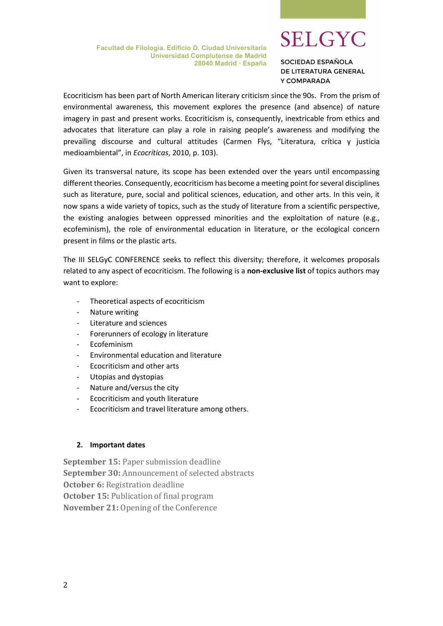Facultad de Filología. Edificio D. Ciudad Universitaria Universidad Complutense de Madrid 28040 Madrid · España

# **SELGYC**

SOCIEDAD ESPAÑOLA DE LITERATURA GENERAL Y COMPARADA

Ecocriticism has been part of North American literary criticism since the 90s. From the prism of environmental awareness, this movement explores the presence (and absence) of nature imagery in past and present works. Ecocriticism is, consequently, inextricable from ethics and advocates that literature can play a role in raising people's awareness and modifying the prevailing discourse and cultural attitudes (Carmen Flys, "Literatura, crítica y justicia medioambiental", in Ecocríticas, 2010, p. 103).

Given its transversal nature, its scope has been extended over the years until encompassing different theories. Consequently, ecocriticism has become a meeting point for several disciplines such as literature, pure, social and political sciences, education, and other arts. In this vein, it now spans a wide variety of topics, such as the study of literature from a scientific perspective, the existing analogies between oppressed minorities and the exploitation of nature (e.g., ecofeminism), the role of environmental education in literature, or the ecological concern present in films or the plastic arts.

The III SELGyC CONFERENCE seeks to reflect this diversity; therefore, it welcomes proposals related to any aspect of ecocriticism. The following is a non-exclusive list of topics authors may want to explore:

- Theoretical aspects of ecocriticism
- Nature writing
- Literature and sciences
- Forerunners of ecology in literature
- Ecofeminism
- Environmental education and literature
- Ecocriticism and other arts
- Utopias and dystopias
- Nature and/versus the city
- Ecocriticism and youth literature
- Ecocriticism and travel literature among others.

# 2. Important dates

September 15: Paper submission deadline September 30: Announcement of selected abstracts October 6: Registration deadline October 15: Publication of final program November 21: Opening of the Conference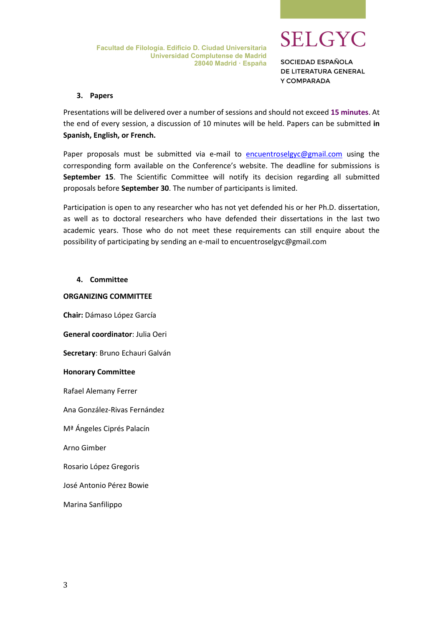

SOCIEDAD ESPAÑOLA DE LITERATURA GENERAL Y COMPARADA

# 3. Papers

Presentations will be delivered over a number of sessions and should not exceed 15 minutes. At the end of every session, a discussion of 10 minutes will be held. Papers can be submitted in Spanish, English, or French.

Paper proposals must be submitted via e-mail to encuentroselgyc@gmail.com using the corresponding form available on the Conference's website. The deadline for submissions is September 15. The Scientific Committee will notify its decision regarding all submitted proposals before September 30. The number of participants is limited.

Participation is open to any researcher who has not yet defended his or her Ph.D. dissertation, as well as to doctoral researchers who have defended their dissertations in the last two academic years. Those who do not meet these requirements can still enquire about the possibility of participating by sending an e-mail to encuentroselgyc@gmail.com

# 4. Committee

# ORGANIZING COMMITTEE

Chair: Dámaso López García General coordinator: Julia Oeri Secretary: Bruno Echauri Galván Honorary Committee Rafael Alemany Ferrer Ana González-Rivas Fernández Mª Ángeles Ciprés Palacín Arno Gimber Rosario López Gregoris José Antonio Pérez Bowie

Marina Sanfilippo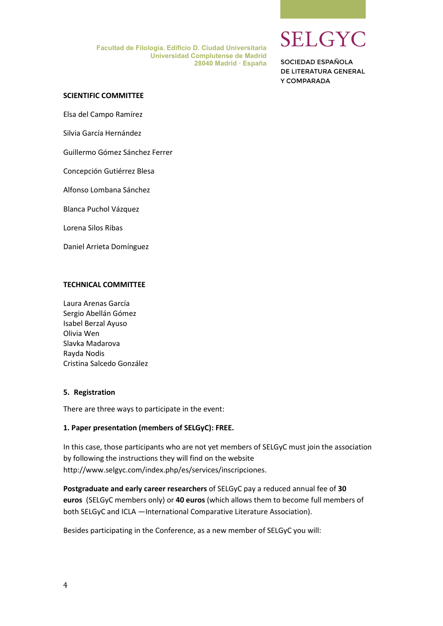Facultad de Filología. Edificio D. Ciudad Universitaria Universidad Complutense de Madrid 28040 Madrid · España **SELGYC** 

SOCIEDAD ESPAÑOLA DE LITERATURA GENERAL Y COMPARADA

#### SCIENTIFIC COMMITTEE

Elsa del Campo Ramírez

Silvia García Hernández

Guillermo Gómez Sánchez Ferrer

Concepción Gutiérrez Blesa

Alfonso Lombana Sánchez

Blanca Puchol Vázquez

Lorena Silos Ribas

Daniel Arrieta Domínguez

### TECHNICAL COMMITTEE

Laura Arenas García Sergio Abellán Gómez Isabel Berzal Ayuso Olivia Wen Slavka Madarova Rayda Nodis Cristina Salcedo González

#### 5. Registration

There are three ways to participate in the event:

#### 1. Paper presentation (members of SELGyC): FREE.

In this case, those participants who are not yet members of SELGyC must join the association by following the instructions they will find on the website http://www.selgyc.com/index.php/es/services/inscripciones.

Postgraduate and early career researchers of SELGyC pay a reduced annual fee of 30 euros (SELGyC members only) or 40 euros (which allows them to become full members of both SELGyC and ICLA —International Comparative Literature Association).

Besides participating in the Conference, as a new member of SELGyC you will: